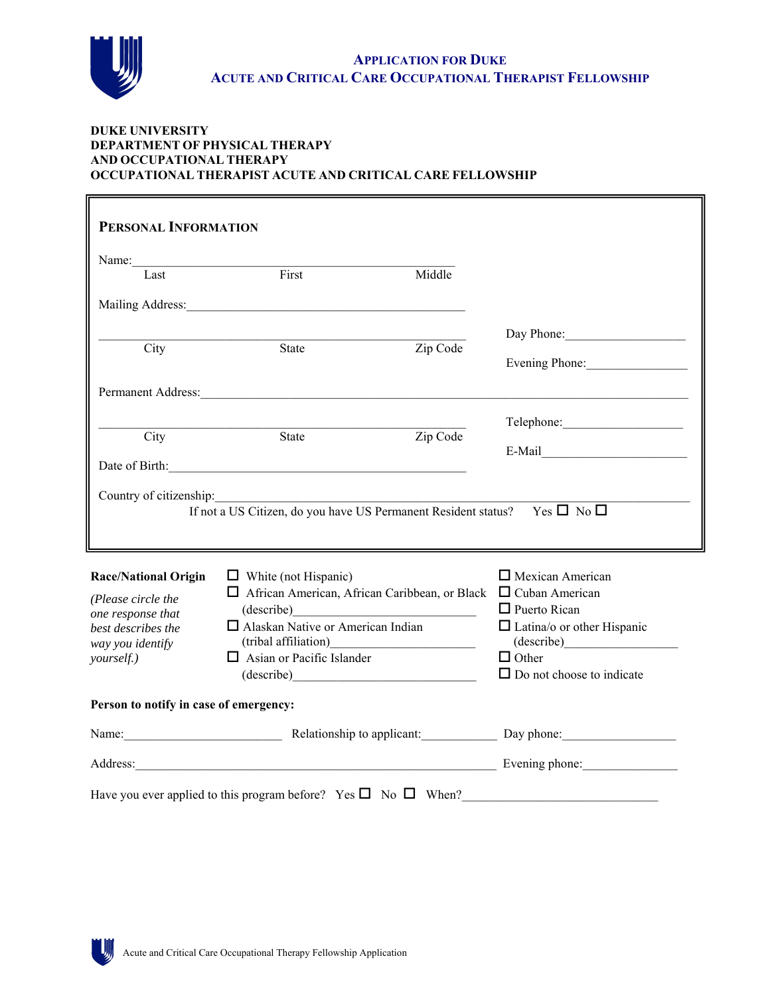

#### **DUKE UNIVERSITY DEPARTMENT OF PHYSICAL THERAPY AND OCCUPATIONAL THERAPY OCCUPATIONAL THERAPIST ACUTE AND CRITICAL CARE FELLOWSHIP**

| PERSONAL INFORMATION                                                                                             |                                                                                                                                                                                                                                |          |                                   |
|------------------------------------------------------------------------------------------------------------------|--------------------------------------------------------------------------------------------------------------------------------------------------------------------------------------------------------------------------------|----------|-----------------------------------|
| Name:                                                                                                            |                                                                                                                                                                                                                                |          |                                   |
| Last                                                                                                             | First                                                                                                                                                                                                                          | Middle   |                                   |
|                                                                                                                  | Mailing Address: Mailing Address: Mailing Address: Mailing Address: Mailing Address: Mailing Address: Mailing Address: Mailing Address: Mailing Address: Mailing Address: Mailing Address: Mailing Address: Mailing Address: M |          |                                   |
|                                                                                                                  |                                                                                                                                                                                                                                |          | Day Phone:                        |
| City                                                                                                             | State                                                                                                                                                                                                                          | Zip Code |                                   |
|                                                                                                                  |                                                                                                                                                                                                                                |          | Evening Phone:                    |
|                                                                                                                  |                                                                                                                                                                                                                                |          |                                   |
|                                                                                                                  |                                                                                                                                                                                                                                |          |                                   |
| City                                                                                                             | State                                                                                                                                                                                                                          | Zip Code |                                   |
|                                                                                                                  |                                                                                                                                                                                                                                |          | $E-Mail$                          |
|                                                                                                                  | Date of Birth: 2008 and 2008 and 2008 and 2008 and 2008 and 2008 and 2008 and 2008 and 2008 and 2008 and 2008 and 2008 and 2008 and 2008 and 2008 and 2008 and 2008 and 2008 and 2008 and 2008 and 2008 and 2008 and 2008 and  |          |                                   |
|                                                                                                                  |                                                                                                                                                                                                                                |          |                                   |
|                                                                                                                  |                                                                                                                                                                                                                                |          |                                   |
|                                                                                                                  |                                                                                                                                                                                                                                |          |                                   |
|                                                                                                                  | If not a US Citizen, do you have US Permanent Resident status? Yes $\Box$ No $\Box$                                                                                                                                            |          |                                   |
|                                                                                                                  |                                                                                                                                                                                                                                |          |                                   |
|                                                                                                                  |                                                                                                                                                                                                                                |          |                                   |
|                                                                                                                  | $\Box$ White (not Hispanic)<br>$\Box$ African American, African Caribbean, or Black $\Box$ Cuban American                                                                                                                      |          | $\Box$ Mexican American           |
|                                                                                                                  |                                                                                                                                                                                                                                |          | $\Box$ Puerto Rican               |
|                                                                                                                  | $\Box$ Alaskan Native or American Indian                                                                                                                                                                                       |          | $\Box$ Latina/o or other Hispanic |
| <b>Race/National Origin</b><br>(Please circle the<br>one response that<br>best describes the<br>way you identify |                                                                                                                                                                                                                                |          | (describe)                        |
| yourself.)                                                                                                       | $\Box$ Asian or Pacific Islander                                                                                                                                                                                               |          | $\Box$ Other                      |
|                                                                                                                  |                                                                                                                                                                                                                                |          | $\Box$ Do not choose to indicate  |
|                                                                                                                  |                                                                                                                                                                                                                                |          |                                   |
| Person to notify in case of emergency:                                                                           | Name: Relationship to applicant: Day phone:                                                                                                                                                                                    |          |                                   |
|                                                                                                                  | Address: Evening phone:                                                                                                                                                                                                        |          |                                   |

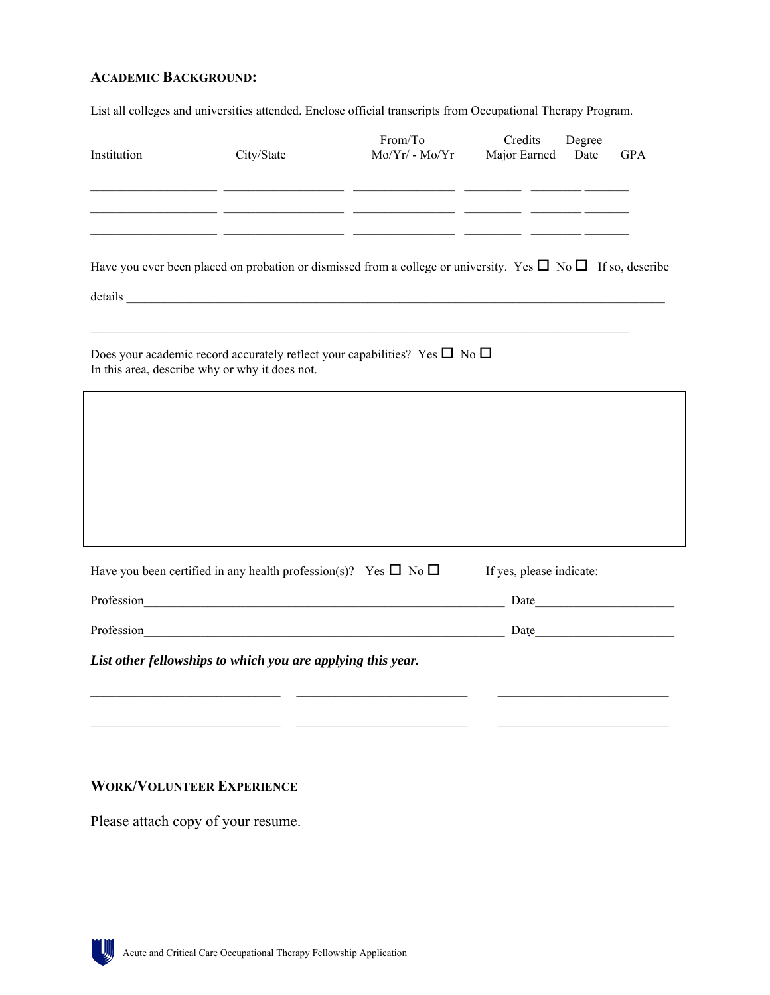## **ACADEMIC BACKGROUND:**

List all colleges and universities attended. Enclose official transcripts from Occupational Therapy Program.

| Institution                                                                                                                                  | City/State                                                                                                           | From/To<br>$Mo/Yr/$ - $Mo/Yr$                                                                                 | Credits<br>Major Earned  | Degree<br>Date                                                                                                                                                                                                                 | <b>GPA</b> |
|----------------------------------------------------------------------------------------------------------------------------------------------|----------------------------------------------------------------------------------------------------------------------|---------------------------------------------------------------------------------------------------------------|--------------------------|--------------------------------------------------------------------------------------------------------------------------------------------------------------------------------------------------------------------------------|------------|
|                                                                                                                                              |                                                                                                                      | <u> 1990 - Johann John Stoff, amerikan besteht besteht og en større og en større og en som på en som på s</u> |                          |                                                                                                                                                                                                                                |            |
|                                                                                                                                              | <u> 1990 - Johann John Harry Harry Harry Harry Harry Harry Harry Harry Harry Harry Harry Harry Harry Harry Harry</u> |                                                                                                               |                          |                                                                                                                                                                                                                                |            |
| Have you ever been placed on probation or dismissed from a college or university. Yes $\Box$ No $\Box$ If so, describe                       |                                                                                                                      |                                                                                                               |                          |                                                                                                                                                                                                                                |            |
| Does your academic record accurately reflect your capabilities? Yes $\square$ No $\square$<br>In this area, describe why or why it does not. |                                                                                                                      |                                                                                                               |                          |                                                                                                                                                                                                                                |            |
|                                                                                                                                              |                                                                                                                      |                                                                                                               |                          |                                                                                                                                                                                                                                |            |
|                                                                                                                                              |                                                                                                                      |                                                                                                               |                          |                                                                                                                                                                                                                                |            |
|                                                                                                                                              |                                                                                                                      |                                                                                                               |                          |                                                                                                                                                                                                                                |            |
|                                                                                                                                              |                                                                                                                      |                                                                                                               |                          |                                                                                                                                                                                                                                |            |
| Have you been certified in any health profession(s)? Yes $\Box$ No $\Box$                                                                    |                                                                                                                      |                                                                                                               | If yes, please indicate: |                                                                                                                                                                                                                                |            |
| Profession                                                                                                                                   | <u> 1980 - Jan Barnett, fransk politik (d. 1980)</u>                                                                 |                                                                                                               |                          | Date and the state of the state of the state of the state of the state of the state of the state of the state of the state of the state of the state of the state of the state of the state of the state of the state of the s |            |
| Profession                                                                                                                                   |                                                                                                                      |                                                                                                               |                          | Date and the set of the set of the set of the set of the set of the set of the set of the set of the set of the set of the set of the set of the set of the set of the set of the set of the set of the set of the set of the  |            |
| List other fellowships to which you are applying this year.                                                                                  |                                                                                                                      |                                                                                                               |                          |                                                                                                                                                                                                                                |            |
|                                                                                                                                              |                                                                                                                      |                                                                                                               |                          |                                                                                                                                                                                                                                |            |
|                                                                                                                                              |                                                                                                                      |                                                                                                               |                          |                                                                                                                                                                                                                                |            |

### **WORK/VOLUNTEER EXPERIENCE**

Please attach copy of your resume.